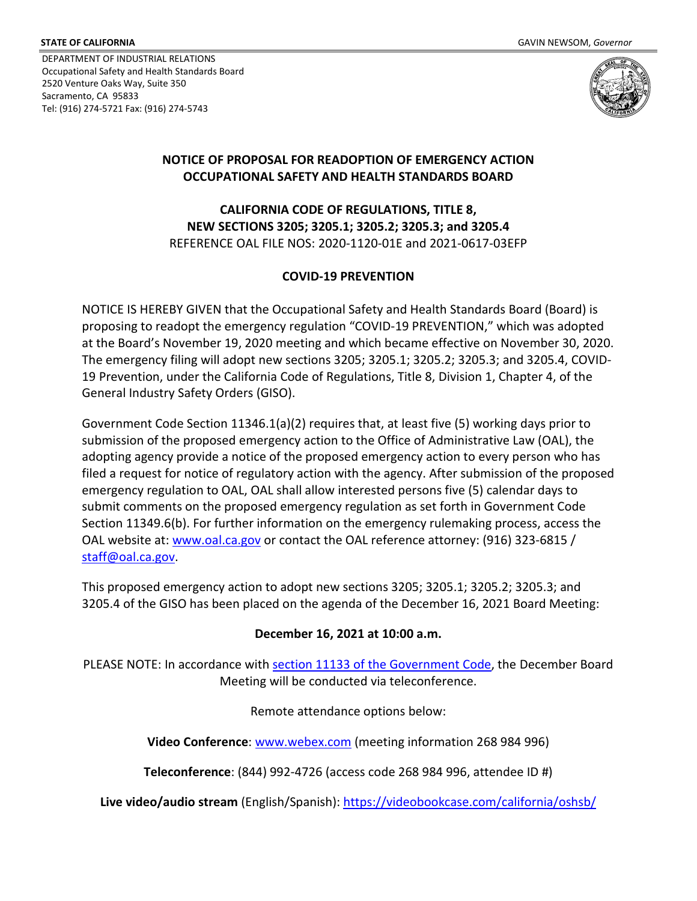DEPARTMENT OF INDUSTRIAL RELATIONS Occupational Safety and Health Standards Board 2520 Venture Oaks Way, Suite 350 Sacramento, CA 95833 Tel: (916) 274-5721 Fax: (916) 274-5743



## **NOTICE OF PROPOSAL FOR READOPTION OF EMERGENCY ACTION OCCUPATIONAL SAFETY AND HEALTH STANDARDS BOARD**

**CALIFORNIA CODE OF REGULATIONS, TITLE 8, NEW SECTIONS 3205; 3205.1; 3205.2; 3205.3; and 3205.4** REFERENCE OAL FILE NOS: 2020-1120-01E and 2021-0617-03EFP

## **COVID-19 PREVENTION**

NOTICE IS HEREBY GIVEN that the Occupational Safety and Health Standards Board (Board) is proposing to readopt the emergency regulation "COVID-19 PREVENTION," which was adopted at the Board's November 19, 2020 meeting and which became effective on November 30, 2020. The emergency filing will adopt new sections 3205; 3205.1; 3205.2; 3205.3; and 3205.4, COVID-19 Prevention, under the California Code of Regulations, Title 8, Division 1, Chapter 4, of the General Industry Safety Orders (GISO).

Government Code Section 11346.1(a)(2) requires that, at least five (5) working days prior to submission of the proposed emergency action to the Office of Administrative Law (OAL), the adopting agency provide a notice of the proposed emergency action to every person who has filed a request for notice of regulatory action with the agency. After submission of the proposed emergency regulation to OAL, OAL shall allow interested persons five (5) calendar days to submit comments on the proposed emergency regulation as set forth in Government Code Section 11349.6(b). For further information on the emergency rulemaking process, access the OAL website at: [www.oal.ca.gov](http://www.oal.ca.gov/) or contact the OAL reference attorney: (916) 323-6815 / [staff@oal.ca.gov.](mailto:staff@oal.ca.gov)

This proposed emergency action to adopt new sections 3205; 3205.1; 3205.2; 3205.3; and 3205.4 of the GISO has been placed on the agenda of the December 16, 2021 Board Meeting:

## **December 16, 2021 at 10:00 a.m.**

PLEASE NOTE: In accordance with [section 11133 of the Government Code,](https://leginfo.legislature.ca.gov/faces/codes_displaySection.xhtml?sectionNum=11133.&lawCode=GOV) the December Board Meeting will be conducted via teleconference.

Remote attendance options below:

**Video Conference**: [www.webex.com](http://www.webex.com/) (meeting information 268 984 996)

**Teleconference**: (844) 992-4726 (access code 268 984 996, attendee ID #)

**Live video/audio stream** (English/Spanish)[: https://videobookcase.com/california/oshsb/](https://videobookcase.com/california/oshsb/)